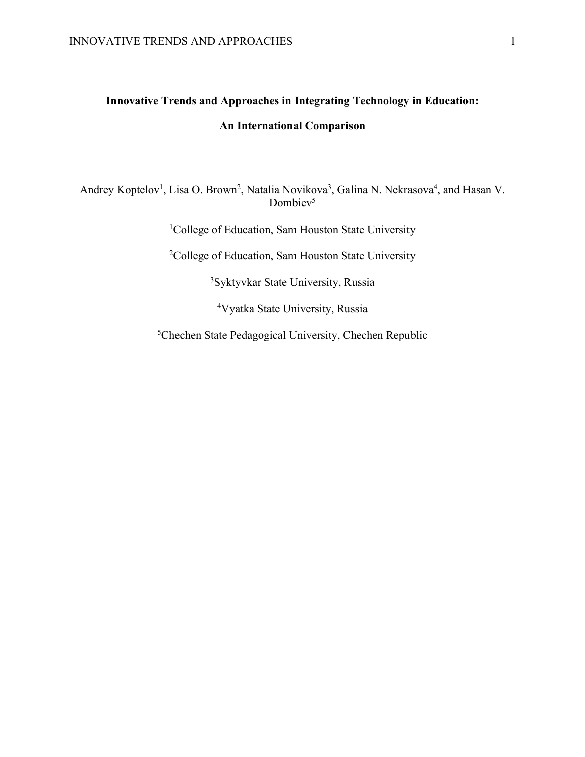# **Innovative Trends and Approaches in Integrating Technology in Education: An International Comparison**

Andrey Koptelov<sup>1</sup>, Lisa O. Brown<sup>2</sup>, Natalia Novikova<sup>3</sup>, Galina N. Nekrasova<sup>4</sup>, and Hasan V. Dombiev<sup>5</sup>

<sup>1</sup>College of Education, Sam Houston State University

2 College of Education, Sam Houston State University

3 Syktyvkar State University, Russia

4 Vyatka State University, Russia

5 Chechen State Pedagogical University, Chechen Republic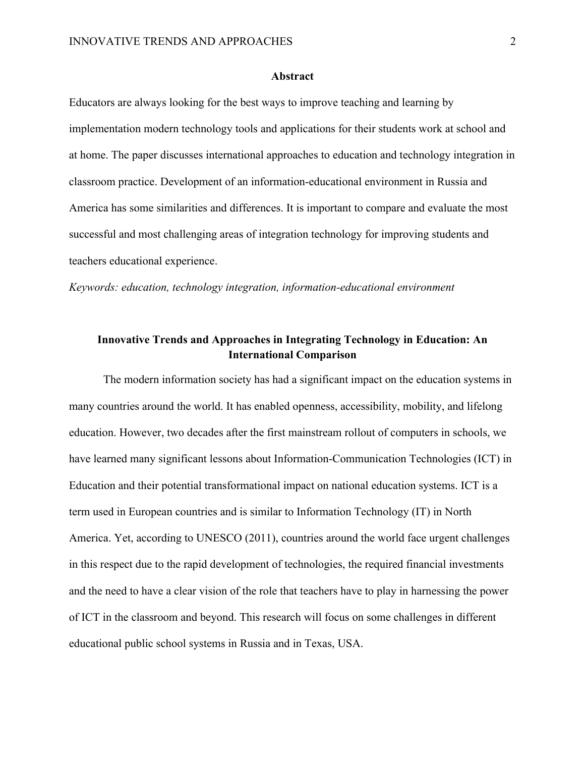#### **Abstract**

Educators are always looking for the best ways to improve teaching and learning by implementation modern technology tools and applications for their students work at school and at home. The paper discusses international approaches to education and technology integration in classroom practice. Development of an information-educational environment in Russia and America has some similarities and differences. It is important to compare and evaluate the most successful and most challenging areas of integration technology for improving students and teachers educational experience.

*Keywords: education, technology integration, information-educational environment*

## **Innovative Trends and Approaches in Integrating Technology in Education: An International Comparison**

The modern information society has had a significant impact on the education systems in many countries around the world. It has enabled openness, accessibility, mobility, and lifelong education. However, two decades after the first mainstream rollout of computers in schools, we have learned many significant lessons about Information-Communication Technologies (ICT) in Education and their potential transformational impact on national education systems. ICT is a term used in European countries and is similar to Information Technology (IT) in North America. Yet, according to UNESCO (2011), countries around the world face urgent challenges in this respect due to the rapid development of technologies, the required financial investments and the need to have a clear vision of the role that teachers have to play in harnessing the power of ICT in the classroom and beyond. This research will focus on some challenges in different educational public school systems in Russia and in Texas, USA.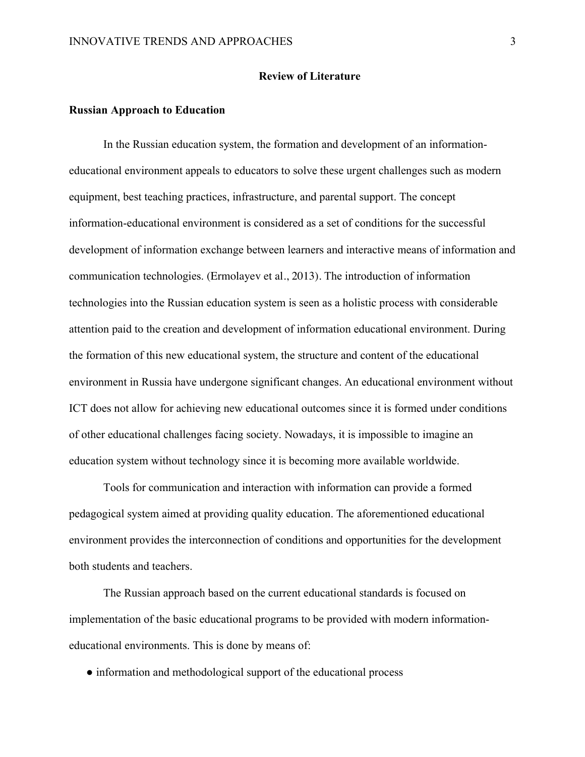#### **Review of Literature**

#### **Russian Approach to Education**

In the Russian education system, the formation and development of an informationeducational environment appeals to educators to solve these urgent challenges such as modern equipment, best teaching practices, infrastructure, and parental support. The concept information-educational environment is considered as a set of conditions for the successful development of information exchange between learners and interactive means of information and communication technologies. (Ermolayev et al., 2013). The introduction of information technologies into the Russian education system is seen as a holistic process with considerable attention paid to the creation and development of information educational environment. During the formation of this new educational system, the structure and content of the educational environment in Russia have undergone significant changes. An educational environment without ICT does not allow for achieving new educational outcomes since it is formed under conditions of other educational challenges facing society. Nowadays, it is impossible to imagine an education system without technology since it is becoming more available worldwide.

Tools for communication and interaction with information can provide a formed pedagogical system aimed at providing quality education. The aforementioned educational environment provides the interconnection of conditions and opportunities for the development both students and teachers.

The Russian approach based on the current educational standards is focused on implementation of the basic educational programs to be provided with modern informationeducational environments. This is done by means of:

• information and methodological support of the educational process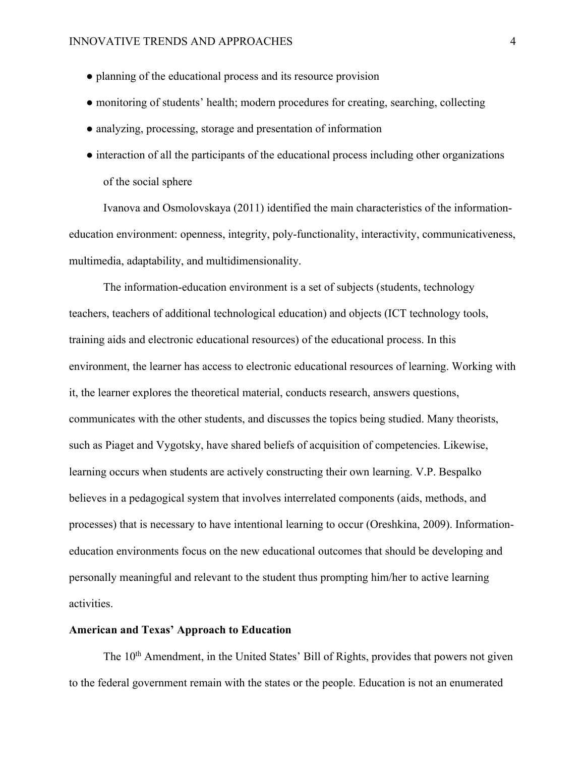- planning of the educational process and its resource provision
- monitoring of students' health; modern procedures for creating, searching, collecting
- analyzing, processing, storage and presentation of information
- interaction of all the participants of the educational process including other organizations of the social sphere

Ivanova and Osmolovskaya (2011) identified the main characteristics of the informationeducation environment: openness, integrity, poly-functionality, interactivity, communicativeness, multimedia, adaptability, and multidimensionality.

The information-education environment is a set of subjects (students, technology teachers, teachers of additional technological education) and objects (ICT technology tools, training aids and electronic educational resources) of the educational process. In this environment, the learner has access to electronic educational resources of learning. Working with it, the learner explores the theoretical material, conducts research, answers questions, communicates with the other students, and discusses the topics being studied. Many theorists, such as Piaget and Vygotsky, have shared beliefs of acquisition of competencies. Likewise, learning occurs when students are actively constructing their own learning. V.P. Bespalko believes in a pedagogical system that involves interrelated components (aids, methods, and processes) that is necessary to have intentional learning to occur (Oreshkina, 2009). Informationeducation environments focus on the new educational outcomes that should be developing and personally meaningful and relevant to the student thus prompting him/her to active learning activities.

### **American and Texas' Approach to Education**

The 10<sup>th</sup> Amendment, in the United States' Bill of Rights, provides that powers not given to the federal government remain with the states or the people. Education is not an enumerated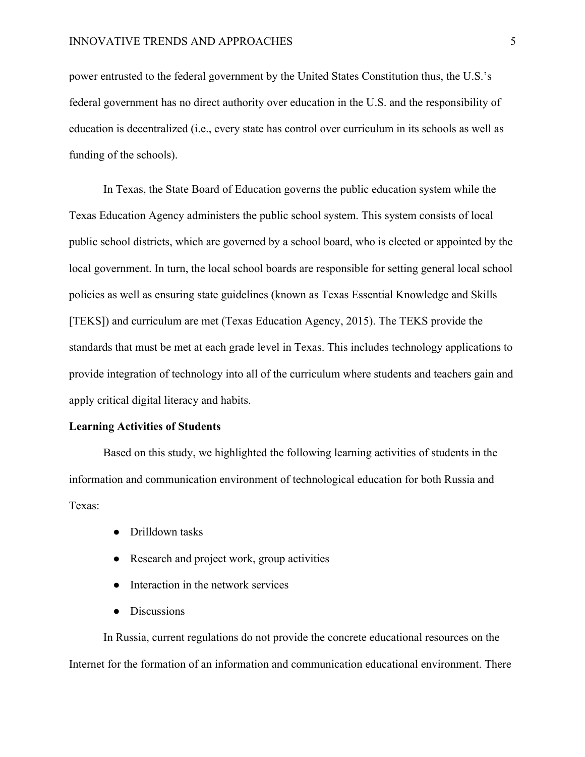power entrusted to the federal government by the United States Constitution thus, the U.S.'s federal government has no direct authority over education in the U.S. and the responsibility of education is decentralized (i.e., every state has control over curriculum in its schools as well as funding of the schools).

In Texas, the State Board of Education governs the public education system while the Texas Education Agency administers the public school system. This system consists of local public school districts, which are governed by a school board, who is elected or appointed by the local government. In turn, the local school boards are responsible for setting general local school policies as well as ensuring state guidelines (known as Texas Essential Knowledge and Skills [TEKS]) and curriculum are met (Texas Education Agency, 2015). The TEKS provide the standards that must be met at each grade level in Texas. This includes technology applications to provide integration of technology into all of the curriculum where students and teachers gain and apply critical digital literacy and habits.

#### **Learning Activities of Students**

Based on this study, we highlighted the following learning activities of students in the information and communication environment of technological education for both Russia and Texas:

- Drilldown tasks
- Research and project work, group activities
- Interaction in the network services
- **Discussions**

In Russia, current regulations do not provide the concrete educational resources on the Internet for the formation of an information and communication educational environment. There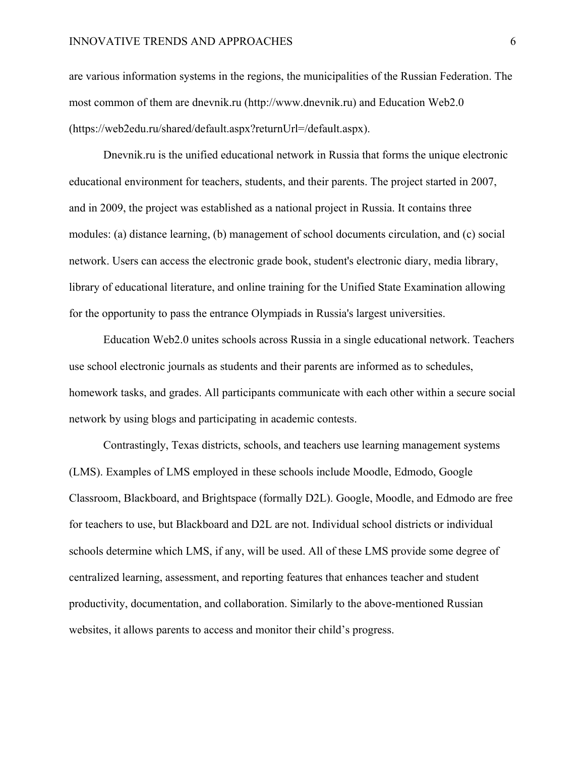#### INNOVATIVE TRENDS AND APPROACHES 6

are various information systems in the regions, the municipalities of the Russian Federation. The most common of them are dnevnik.ru (http://www.dnevnik.ru) and Education Web2.0 (https://web2edu.ru/shared/default.aspx?returnUrl=/default.aspx).

Dnevnik.ru is the unified educational network in Russia that forms the unique electronic educational environment for teachers, students, and their parents. The project started in 2007, and in 2009, the project was established as a national project in Russia. It contains three modules: (a) distance learning, (b) management of school documents circulation, and (c) social network. Users can access the electronic grade book, student's electronic diary, media library, library of educational literature, and online training for the Unified State Examination allowing for the opportunity to pass the entrance Olympiads in Russia's largest universities.

Education Web2.0 unites schools across Russia in a single educational network. Teachers use school electronic journals as students and their parents are informed as to schedules, homework tasks, and grades. All participants communicate with each other within a secure social network by using blogs and participating in academic contests.

Contrastingly, Texas districts, schools, and teachers use learning management systems (LMS). Examples of LMS employed in these schools include Moodle, Edmodo, Google Classroom, Blackboard, and Brightspace (formally D2L). Google, Moodle, and Edmodo are free for teachers to use, but Blackboard and D2L are not. Individual school districts or individual schools determine which LMS, if any, will be used. All of these LMS provide some degree of centralized learning, assessment, and reporting features that enhances teacher and student productivity, documentation, and collaboration. Similarly to the above-mentioned Russian websites, it allows parents to access and monitor their child's progress.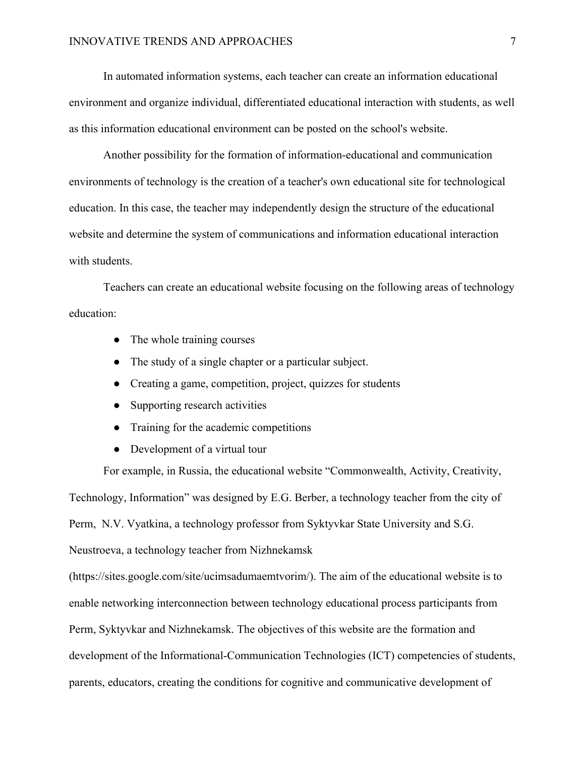In automated information systems, each teacher can create an information educational environment and organize individual, differentiated educational interaction with students, as well as this information educational environment can be posted on the school's website.

Another possibility for the formation of information-educational and communication environments of technology is the creation of a teacher's own educational site for technological education. In this case, the teacher may independently design the structure of the educational website and determine the system of communications and information educational interaction with students.

Teachers can create an educational website focusing on the following areas of technology education:

- The whole training courses
- The study of a single chapter or a particular subject.
- Creating a game, competition, project, quizzes for students
- Supporting research activities
- Training for the academic competitions
- Development of a virtual tour

For example, in Russia, the educational website "Commonwealth, Activity, Creativity, Technology, Information" was designed by E.G. Berber, a technology teacher from the city of Perm, N.V. Vyatkina, a technology professor from Syktyvkar State University and S.G. Neustroeva, a technology teacher from Nizhnekamsk

(https://sites.google.com/site/ucimsadumaemtvorim/). The aim of the educational website is to enable networking interconnection between technology educational process participants from Perm, Syktyvkar and Nizhnekamsk. The objectives of this website are the formation and development of the Informational-Communication Technologies (ICT) competencies of students, parents, educators, creating the conditions for cognitive and communicative development of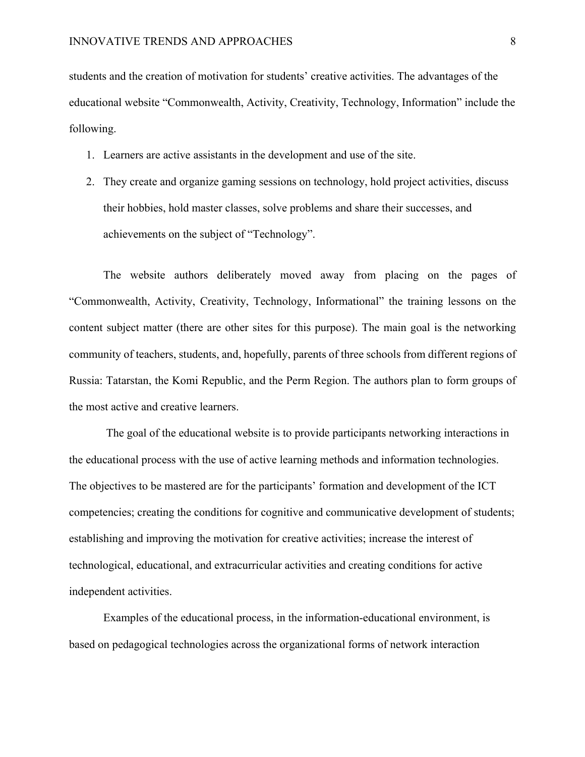students and the creation of motivation for students' creative activities. The advantages of the educational website "Commonwealth, Activity, Creativity, Technology, Information" include the following.

- 1. Learners are active assistants in the development and use of the site.
- 2. They create and organize gaming sessions on technology, hold project activities, discuss their hobbies, hold master classes, solve problems and share their successes, and achievements on the subject of "Technology".

The website authors deliberately moved away from placing on the pages of "Commonwealth, Activity, Creativity, Technology, Informational" the training lessons on the content subject matter (there are other sites for this purpose). The main goal is the networking community of teachers, students, and, hopefully, parents of three schools from different regions of Russia: Tatarstan, the Komi Republic, and the Perm Region. The authors plan to form groups of the most active and creative learners.

The goal of the educational website is to provide participants networking interactions in the educational process with the use of active learning methods and information technologies. The objectives to be mastered are for the participants' formation and development of the ICT competencies; creating the conditions for cognitive and communicative development of students; establishing and improving the motivation for creative activities; increase the interest of technological, educational, and extracurricular activities and creating conditions for active independent activities.

Examples of the educational process, in the information-educational environment, is based on pedagogical technologies across the organizational forms of network interaction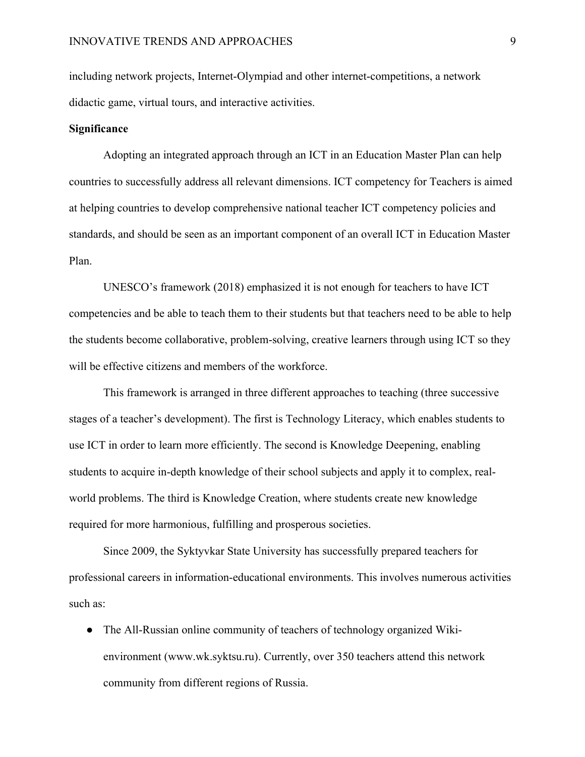including network projects, Internet-Olympiad and other internet-competitions, a network didactic game, virtual tours, and interactive activities.

#### **Significance**

Adopting an integrated approach through an ICT in an Education Master Plan can help countries to successfully address all relevant dimensions. ICT competency for Teachers is aimed at helping countries to develop comprehensive national teacher ICT competency policies and standards, and should be seen as an important component of an overall ICT in Education Master Plan.

UNESCO's framework (2018) emphasized it is not enough for teachers to have ICT competencies and be able to teach them to their students but that teachers need to be able to help the students become collaborative, problem-solving, creative learners through using ICT so they will be effective citizens and members of the workforce.

This framework is arranged in three different approaches to teaching (three successive stages of a teacher's development). The first is Technology Literacy, which enables students to use ICT in order to learn more efficiently. The second is Knowledge Deepening, enabling students to acquire in-depth knowledge of their school subjects and apply it to complex, realworld problems. The third is Knowledge Creation, where students create new knowledge required for more harmonious, fulfilling and prosperous societies.

Since 2009, the Syktyvkar State University has successfully prepared teachers for professional careers in information-educational environments. This involves numerous activities such as:

● The All-Russian online community of teachers of technology organized Wikienvironment (www.wk.syktsu.ru). Currently, over 350 teachers attend this network community from different regions of Russia.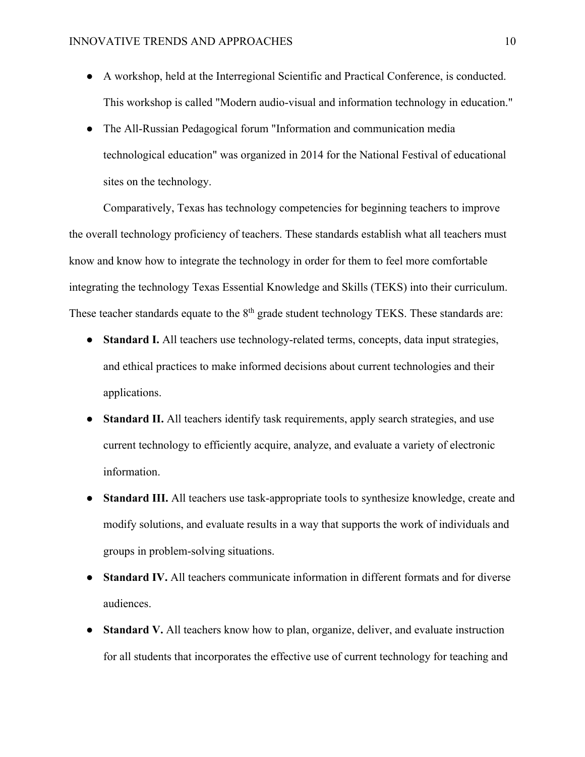- A workshop, held at the Interregional Scientific and Practical Conference, is conducted. This workshop is called "Modern audio-visual and information technology in education."
- The All-Russian Pedagogical forum "Information and communication media technological education" was organized in 2014 for the National Festival of educational sites on the technology.

Comparatively, Texas has technology competencies for beginning teachers to improve the overall technology proficiency of teachers. These standards establish what all teachers must know and know how to integrate the technology in order for them to feel more comfortable integrating the technology Texas Essential Knowledge and Skills (TEKS) into their curriculum. These teacher standards equate to the 8<sup>th</sup> grade student technology TEKS. These standards are:

- **Standard I.** All teachers use technology-related terms, concepts, data input strategies, and ethical practices to make informed decisions about current technologies and their applications.
- **Standard II.** All teachers identify task requirements, apply search strategies, and use current technology to efficiently acquire, analyze, and evaluate a variety of electronic information.
- **Standard III.** All teachers use task-appropriate tools to synthesize knowledge, create and modify solutions, and evaluate results in a way that supports the work of individuals and groups in problem-solving situations.
- **Standard IV.** All teachers communicate information in different formats and for diverse audiences.
- **Standard V.** All teachers know how to plan, organize, deliver, and evaluate instruction for all students that incorporates the effective use of current technology for teaching and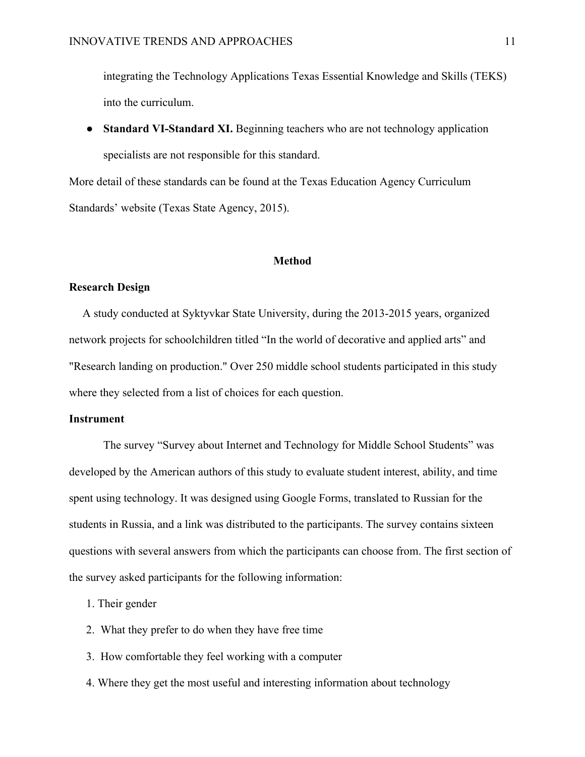integrating the Technology Applications Texas Essential Knowledge and Skills (TEKS) into the curriculum.

• **Standard VI-Standard XI.** Beginning teachers who are not technology application specialists are not responsible for this standard.

More detail of these standards can be found at the Texas Education Agency Curriculum Standards' website (Texas State Agency, 2015).

#### **Method**

#### **Research Design**

A study conducted at Syktyvkar State University, during the 2013-2015 years, organized network projects for schoolchildren titled "In the world of decorative and applied arts" and "Research landing on production." Over 250 middle school students participated in this study where they selected from a list of choices for each question.

#### **Instrument**

The survey "Survey about Internet and Technology for Middle School Students" was developed by the American authors of this study to evaluate student interest, ability, and time spent using technology. It was designed using Google Forms, translated to Russian for the students in Russia, and a link was distributed to the participants. The survey contains sixteen questions with several answers from which the participants can choose from. The first section of the survey asked participants for the following information:

1. Their gender

- 2. What they prefer to do when they have free time
- 3. How comfortable they feel working with a computer
- 4. Where they get the most useful and interesting information about technology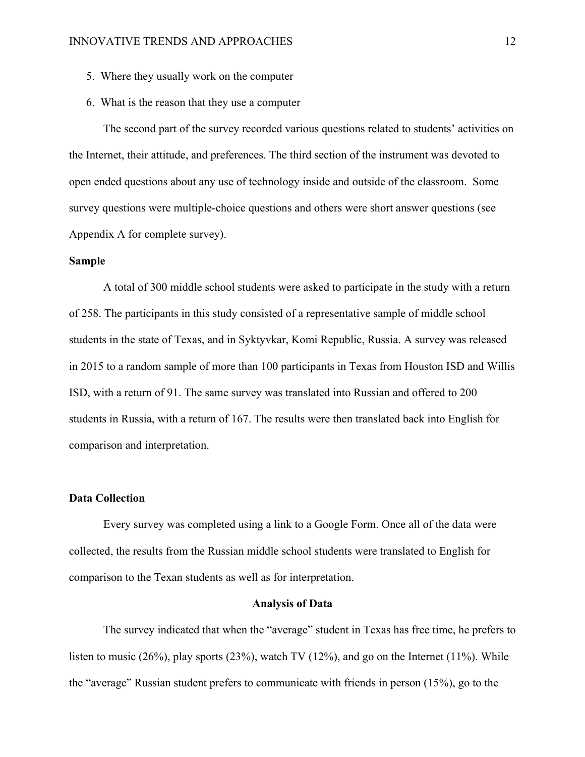- 5. Where they usually work on the computer
- 6. What is the reason that they use a computer

The second part of the survey recorded various questions related to students' activities on the Internet, their attitude, and preferences. The third section of the instrument was devoted to open ended questions about any use of technology inside and outside of the classroom. Some survey questions were multiple-choice questions and others were short answer questions (see Appendix A for complete survey).

#### **Sample**

A total of 300 middle school students were asked to participate in the study with a return of 258. The participants in this study consisted of a representative sample of middle school students in the state of Texas, and in Syktyvkar, Komi Republic, Russia. A survey was released in 2015 to a random sample of more than 100 participants in Texas from Houston ISD and Willis ISD, with a return of 91. The same survey was translated into Russian and offered to 200 students in Russia, with a return of 167. The results were then translated back into English for comparison and interpretation.

#### **Data Collection**

Every survey was completed using a link to a Google Form. Once all of the data were collected, the results from the Russian middle school students were translated to English for comparison to the Texan students as well as for interpretation.

#### **Analysis of Data**

The survey indicated that when the "average" student in Texas has free time, he prefers to listen to music (26%), play sports (23%), watch TV (12%), and go on the Internet (11%). While the "average" Russian student prefers to communicate with friends in person (15%), go to the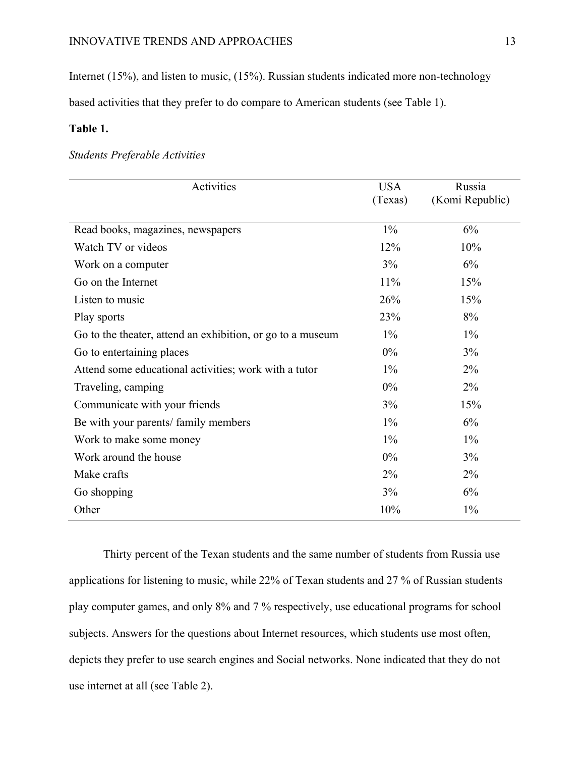Internet (15%), and listen to music, (15%). Russian students indicated more non-technology

based activities that they prefer to do compare to American students (see Table 1).

## **Table 1.**

## *Students Preferable Activities*

| Activities                                                 | <b>USA</b> | Russia          |
|------------------------------------------------------------|------------|-----------------|
|                                                            | (Texas)    | (Komi Republic) |
| Read books, magazines, newspapers                          | $1\%$      | 6%              |
| Watch TV or videos                                         | 12%        | 10%             |
| Work on a computer                                         | 3%         | 6%              |
| Go on the Internet                                         | 11%        | 15%             |
| Listen to music                                            | 26%        | 15%             |
| Play sports                                                | 23%        | 8%              |
| Go to the theater, attend an exhibition, or go to a museum | $1\%$      | $1\%$           |
| Go to entertaining places                                  | $0\%$      | 3%              |
| Attend some educational activities; work with a tutor      | $1\%$      | $2\%$           |
| Traveling, camping                                         | $0\%$      | 2%              |
| Communicate with your friends                              | 3%         | 15%             |
| Be with your parents/ family members                       | $1\%$      | 6%              |
| Work to make some money                                    | $1\%$      | $1\%$           |
| Work around the house                                      | $0\%$      | 3%              |
| Make crafts                                                | $2\%$      | $2\%$           |
| Go shopping                                                | 3%         | 6%              |
| Other                                                      | 10%        | $1\%$           |

Thirty percent of the Texan students and the same number of students from Russia use applications for listening to music, while 22% of Texan students and 27 % of Russian students play computer games, and only 8% and 7 % respectively, use educational programs for school subjects. Answers for the questions about Internet resources, which students use most often, depicts they prefer to use search engines and Social networks. None indicated that they do not use internet at all (see Table 2).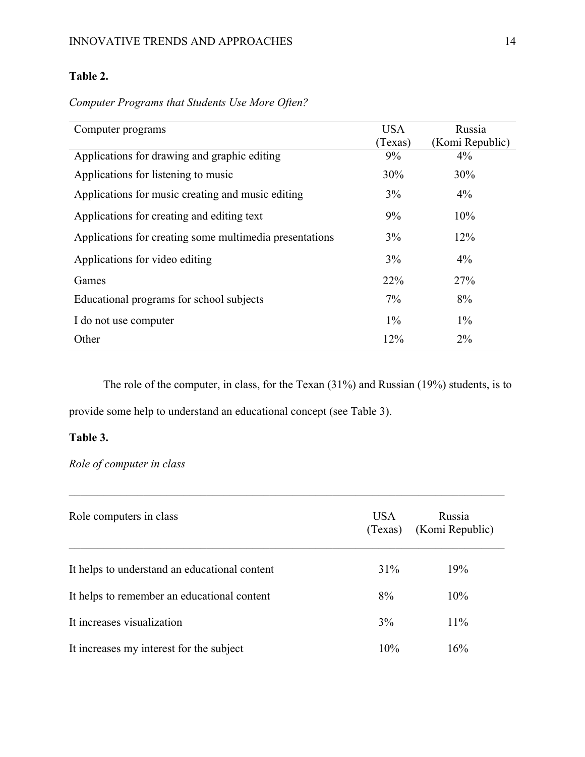## **Table 2.**

*Computer Programs that Students Use More Often?*

| Computer programs                                       | <b>USA</b><br>(Texas) | Russia<br>(Komi Republic) |
|---------------------------------------------------------|-----------------------|---------------------------|
| Applications for drawing and graphic editing            | $9\%$                 | 4%                        |
| Applications for listening to music                     | 30%                   | 30%                       |
| Applications for music creating and music editing       | 3%                    | $4\%$                     |
| Applications for creating and editing text              | 9%                    | 10%                       |
| Applications for creating some multimedia presentations | 3%                    | 12%                       |
| Applications for video editing                          | 3%                    | 4%                        |
| Games                                                   | 22%                   | 27%                       |
| Educational programs for school subjects                | $7\%$                 | 8%                        |
| I do not use computer                                   | $1\%$                 | $1\%$                     |
| Other                                                   | 12%                   | $2\%$                     |

The role of the computer, in class, for the Texan (31%) and Russian (19%) students, is to provide some help to understand an educational concept (see Table 3).

## **Table 3.**

*Role of computer in class*

| Role computers in class                       | <b>USA</b><br>(Texas) | Russia<br>(Komi Republic) |
|-----------------------------------------------|-----------------------|---------------------------|
| It helps to understand an educational content | $31\%$                | 19%                       |
| It helps to remember an educational content   | 8%                    | 10%                       |
| It increases visualization                    | 3%                    | 11%                       |
| It increases my interest for the subject      | 10%                   | 16%                       |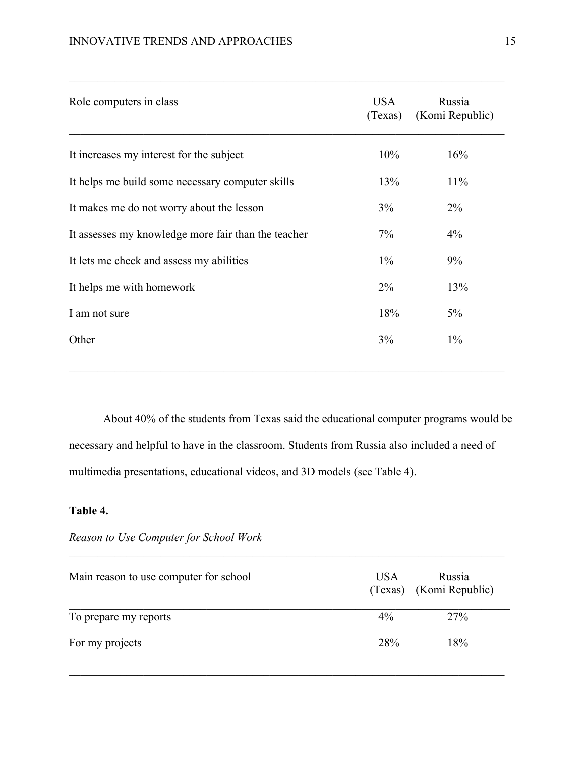| Role computers in class                             | <b>USA</b><br>(Texas) | Russia<br>(Komi Republic) |
|-----------------------------------------------------|-----------------------|---------------------------|
| It increases my interest for the subject            | 10%                   | 16%                       |
| It helps me build some necessary computer skills    | 13%                   | 11%                       |
| It makes me do not worry about the lesson           | 3%                    | $2\%$                     |
| It assesses my knowledge more fair than the teacher | 7%                    | 4%                        |
| It lets me check and assess my abilities            | $1\%$                 | 9%                        |
| It helps me with homework                           | $2\%$                 | 13%                       |
| I am not sure                                       | 18%                   | $5\%$                     |
| Other                                               | 3%                    | $1\%$                     |
|                                                     |                       |                           |

About 40% of the students from Texas said the educational computer programs would be necessary and helpful to have in the classroom. Students from Russia also included a need of multimedia presentations, educational videos, and 3D models (see Table 4).

## **Table 4.**

| Reason to Use Computer for School Work |  |  |  |  |  |
|----------------------------------------|--|--|--|--|--|
|----------------------------------------|--|--|--|--|--|

| Main reason to use computer for school | USA.  | Russia<br>(Texas) (Komi Republic) |
|----------------------------------------|-------|-----------------------------------|
| To prepare my reports                  | $4\%$ | <b>27%</b>                        |
| For my projects                        | 28%   | 18%                               |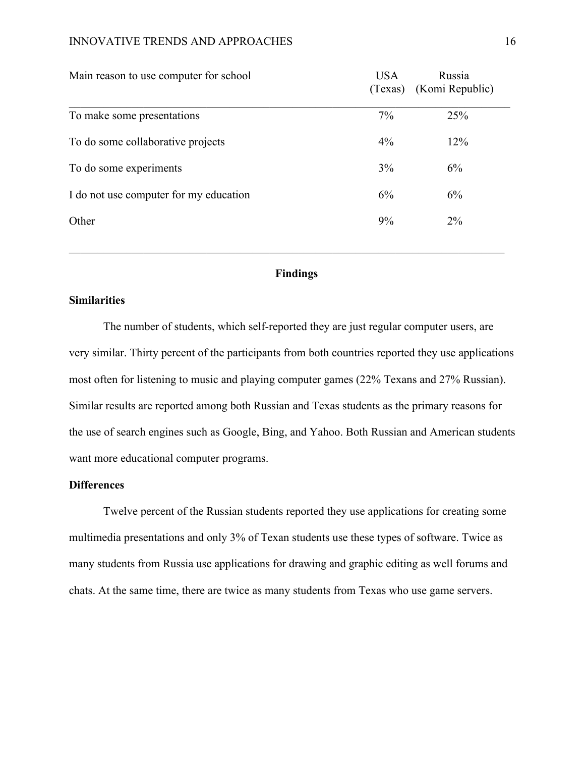#### INNOVATIVE TRENDS AND APPROACHES 16

| Main reason to use computer for school | <b>USA</b> | Russia<br>(Texas) (Komi Republic) |
|----------------------------------------|------------|-----------------------------------|
| To make some presentations             | 7%         | 25%                               |
| To do some collaborative projects      | 4%         | 12%                               |
| To do some experiments                 | 3%         | 6%                                |
| I do not use computer for my education | 6%         | 6%                                |
| Other                                  | 9%         | $2\%$                             |
|                                        |            |                                   |

## **Findings**

## **Similarities**

The number of students, which self-reported they are just regular computer users, are very similar. Thirty percent of the participants from both countries reported they use applications most often for listening to music and playing computer games (22% Texans and 27% Russian). Similar results are reported among both Russian and Texas students as the primary reasons for the use of search engines such as Google, Bing, and Yahoo. Both Russian and American students want more educational computer programs.

### **Differences**

Twelve percent of the Russian students reported they use applications for creating some multimedia presentations and only 3% of Texan students use these types of software. Twice as many students from Russia use applications for drawing and graphic editing as well forums and chats. At the same time, there are twice as many students from Texas who use game servers.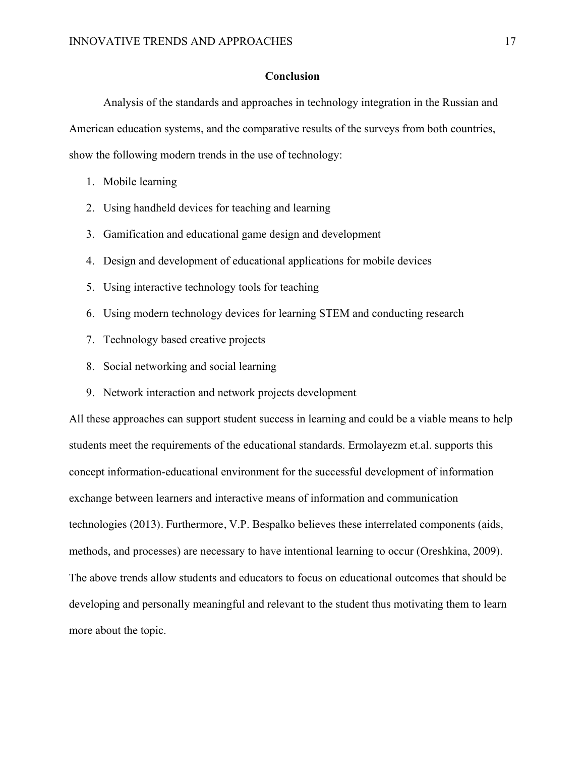#### **Conclusion**

Analysis of the standards and approaches in technology integration in the Russian and American education systems, and the comparative results of the surveys from both countries, show the following modern trends in the use of technology:

- 1. Mobile learning
- 2. Using handheld devices for teaching and learning
- 3. Gamification and educational game design and development
- 4. Design and development of educational applications for mobile devices
- 5. Using interactive technology tools for teaching
- 6. Using modern technology devices for learning STEM and conducting research
- 7. Technology based creative projects
- 8. Social networking and social learning
- 9. Network interaction and network projects development

All these approaches can support student success in learning and could be a viable means to help students meet the requirements of the educational standards. Ermolayezm et.al. supports this concept information-educational environment for the successful development of information exchange between learners and interactive means of information and communication technologies (2013). Furthermore, V.P. Bespalko believes these interrelated components (aids, methods, and processes) are necessary to have intentional learning to occur (Oreshkina, 2009). The above trends allow students and educators to focus on educational outcomes that should be developing and personally meaningful and relevant to the student thus motivating them to learn more about the topic.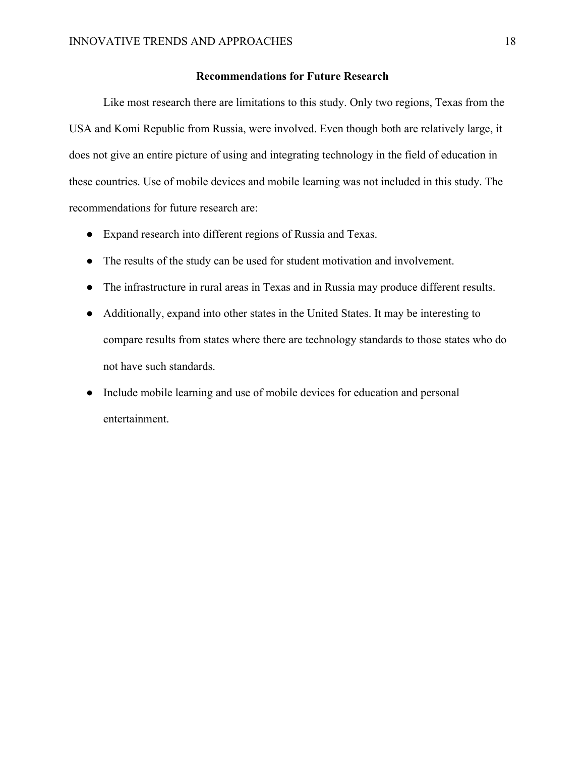### **Recommendations for Future Research**

Like most research there are limitations to this study. Only two regions, Texas from the USA and Komi Republic from Russia, were involved. Even though both are relatively large, it does not give an entire picture of using and integrating technology in the field of education in these countries. Use of mobile devices and mobile learning was not included in this study. The recommendations for future research are:

- Expand research into different regions of Russia and Texas.
- The results of the study can be used for student motivation and involvement.
- The infrastructure in rural areas in Texas and in Russia may produce different results.
- Additionally, expand into other states in the United States. It may be interesting to compare results from states where there are technology standards to those states who do not have such standards.
- Include mobile learning and use of mobile devices for education and personal entertainment.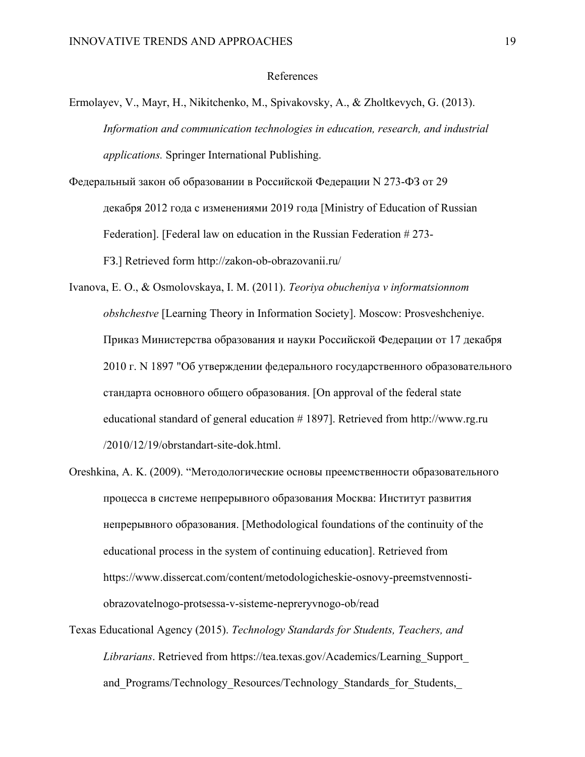#### References

- Ermolayev, V., Mayr, H., Nikitchenko, M., Spivakovsky, A., & Zholtkevych, G. (2013). *Information and communication technologies in education, research, and industrial applications.* Springer International Publishing.
- Федеральный закон oб образовании в Российской Федерации N 273-ФЗ от 29 декабря 2012 года с изменениями 2019 года [Ministry of Education of Russian Federation]. [Federal law on education in the Russian Federation # 273- FЗ.] Retrieved form http://zakon-ob-obrazovanii.ru/
- Ivanova, E. O., & Osmolovskaya, I. M. (2011). *Teoriya obucheniya v informatsionnom obshchestve* [Learning Theory in Information Society]. Мoscow: Prosveshcheniye. Приказ Министерства образования и науки Российской Федерации от 17 декабря 2010 г. N 1897 "Об утверждении федерального государственного образовательного стандарта основного общего образования. [On approval of the federal state educational standard of general education # 1897]. Retrieved from http://www.rg.ru /2010/12/19/obrstandart-site-dok.html.
- Oreshkina, A. K. (2009). "Методологические основы преемственности образовательного процесса в системе непрерывного образования Москва: Институт развития непрерывного образования. [Methodological foundations of the continuity of the educational process in the system of continuing education]. Retrieved from https://www.dissercat.com/content/metodologicheskie-osnovy-preemstvennostiobrazovatelnogo-protsessa-v-sisteme-nepreryvnogo-ob/read
- Texas Educational Agency (2015). *Technology Standards for Students, Teachers, and Librarians*. Retrieved from https://tea.texas.gov/Academics/Learning\_Support\_ and Programs/Technology Resources/Technology Standards for Students,